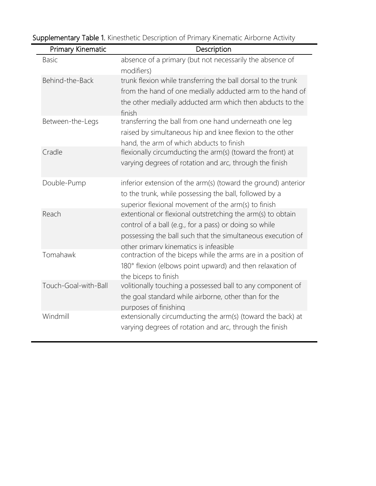| Primary Kinematic    | Description                                                                                                                                                                                                                    |
|----------------------|--------------------------------------------------------------------------------------------------------------------------------------------------------------------------------------------------------------------------------|
| <b>Basic</b>         | absence of a primary (but not necessarily the absence of<br>modifiers)                                                                                                                                                         |
| Behind-the-Back      | trunk flexion while transferring the ball dorsal to the trunk<br>from the hand of one medially adducted arm to the hand of<br>the other medially adducted arm which then abducts to the<br>finish                              |
| Between-the-Legs     | transferring the ball from one hand underneath one leg<br>raised by simultaneous hip and knee flexion to the other<br>hand, the arm of which abducts to finish                                                                 |
| Cradle               | flexionally circumducting the arm(s) (toward the front) at<br>varying degrees of rotation and arc, through the finish                                                                                                          |
| Double-Pump          | inferior extension of the arm(s) (toward the ground) anterior<br>to the trunk, while possessing the ball, followed by a<br>superior flexional movement of the arm(s) to finish                                                 |
| Reach                | extentional or flexional outstretching the arm(s) to obtain<br>control of a ball (e.g., for a pass) or doing so while<br>possessing the ball such that the simultaneous execution of<br>other primary kinematics is infeasible |
| Tomahawk             | contraction of the biceps while the arms are in a position of<br>180° flexion (elbows point upward) and then relaxation of<br>the biceps to finish                                                                             |
| Touch-Goal-with-Ball | volitionally touching a possessed ball to any component of<br>the goal standard while airborne, other than for the<br>purposes of finishing                                                                                    |
| Windmill             | extensionally circumducting the arm(s) (toward the back) at<br>varying degrees of rotation and arc, through the finish                                                                                                         |

Supplementary Table 1. Kinesthetic Description of Primary Kinematic Airborne Activity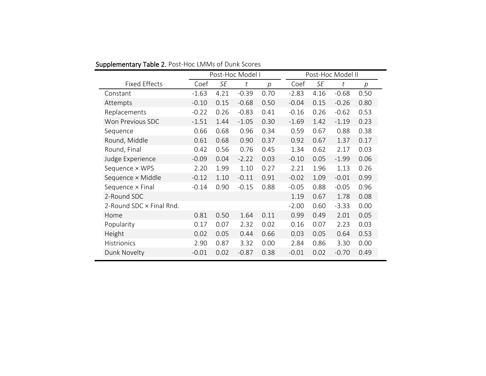|                          | Post-Hoc Model I |      |         | Post-Hoc Model II |         |      |         |      |
|--------------------------|------------------|------|---------|-------------------|---------|------|---------|------|
| <b>Fixed Effects</b>     | Coef             | SE   | t       | р                 | Coef    | SE   | t       | p    |
| Constant                 | $-1.63$          | 4.21 | $-0.39$ | 0.70              | $-2.83$ | 4.16 | $-0.68$ | 0.50 |
| Attempts                 | $-0.10$          | 0.15 | $-0.68$ | 0.50              | $-0.04$ | 0.15 | $-0.26$ | 0.80 |
| Replacements             | $-0.22$          | 0.26 | $-0.83$ | 0.41              | $-0.16$ | 0.26 | $-0.62$ | 0.53 |
| Won Previous SDC         | $-1.51$          | 1.44 | $-1.05$ | 0.30              | $-1.69$ | 1.42 | $-1.19$ | 0.23 |
| Sequence                 | 0.66             | 0.68 | 0.96    | 0.34              | 0.59    | 0.67 | 0.88    | 0.38 |
| Round, Middle            | 0.61             | 0.68 | 0.90    | 0.37              | 0.92    | 0.67 | 1.37    | 0.17 |
| Round, Final             | 0.42             | 0.56 | 0.76    | 0.45              | 1.34    | 0.62 | 2.17    | 0.03 |
| Judge Experience         | $-0.09$          | 0.04 | $-2.22$ | 0.03              | $-0.10$ | 0.05 | $-1.99$ | 0.06 |
| Sequence × WPS           | 2.20             | 1.99 | 1.10    | 0.27              | 2.21    | 1.96 | 1.13    | 0.26 |
| Sequence × Middle        | $-0.12$          | 1.10 | $-0.11$ | 0.91              | $-0.02$ | 1.09 | $-0.01$ | 0.99 |
| Sequence x Final         | $-0.14$          | 0.90 | $-0.15$ | 0.88              | $-0.05$ | 0.88 | $-0.05$ | 0.96 |
| 2-Round SDC              |                  |      |         |                   | 1.19    | 0.67 | 1.78    | 0.08 |
| 2-Round SDC × Final Rnd. |                  |      |         |                   | $-2.00$ | 0.60 | $-3.33$ | 0.00 |
| Home                     | 0.81             | 0.50 | 1.64    | 0.11              | 0.99    | 0.49 | 2.01    | 0.05 |
| Popularity               | 0.17             | 0.07 | 2.32    | 0.02              | 0.16    | 0.07 | 2.23    | 0.03 |
| Height                   | 0.02             | 0.05 | 0.44    | 0.66              | 0.03    | 0.05 | 0.64    | 0.53 |
| <b>Histrionics</b>       | 2.90             | 0.87 | 3.32    | 0.00              | 2.84    | 0.86 | 3.30    | 0.00 |
| Dunk Novelty             | $-0.01$          | 0.02 | $-0.87$ | 0.38              | $-0.01$ | 0.02 | $-0.70$ | 0.49 |

Supplementary Table 2. Post-Hoc LMMs of Dunk Scores